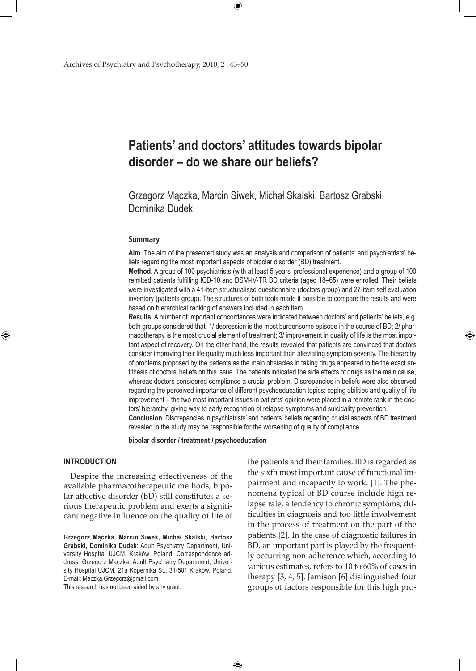# **Patients' and doctors' attitudes towards bipolar disorder – do we share our beliefs?**

 $\bigoplus$ 

Grzegorz Mączka, Marcin Siwek, Michał Skalski, Bartosz Grabski, Dominika Dudek

### **Summary**

**Aim**. The aim of the presented study was an analysis and comparison of patients' and psychiatrists' beliefs regarding the most important aspects of bipolar disorder (BD) treatment.

**Method**. A group of 100 psychiatrists (with at least 5 years' professional experience) and a group of 100 remitted patients fulfilling ICD-10 and DSM-IV-TR BD criteria (aged 18–65) were enrolled. Their beliefs were investigated with a 41-item structuralised questionnaire (doctors group) and 27-item self evaluation inventory (patients group). The structures of both tools made it possible to compare the results and were based on hierarchical ranking of answers included in each item.

**Results**. A number of important concordances were indicated between doctors' and patients' beliefs, e.g. both groups considered that: 1/ depression is the most burdensome episode in the course of BD; 2/ pharmacotherapy is the most crucial element of treatment; 3/ improvement in quality of life is the most important aspect of recovery. On the other hand, the results revealed that patients are convinced that doctors consider improving their life quality much less important than alleviating symptom severity. The hierarchy of problems proposed by the patients as the main obstacles in taking drugs appeared to be the exact antithesis of doctors' beliefs on this issue. The patients indicated the side effects of drugs as the main cause, whereas doctors considered compliance a crucial problem. Discrepancies in beliefs were also observed regarding the perceived importance of different psychoeducation topics: coping abilities and quality of life improvement – the two most important issues in patients' opinion were placed in a remote rank in the doctors' hierarchy, giving way to early recognition of relapse symptoms and suicidality prevention. **Conclusion**. Discrepancies in psychiatrists' and patients' beliefs regarding crucial aspects of BD treatment

revealed in the study may be responsible for the worsening of quality of compliance.

 $\bigoplus$ 

**bipolar disorder / treatment / psychoeducation**

## **Introduction**

⊕

Despite the increasing effectiveness of the available pharmacotherapeutic methods, bipolar affective disorder (BD) still constitutes a serious therapeutic problem and exerts a significant negative influence on the quality of life of

This research has not been aided by any grant.

the patients and their families. BD is regarded as the sixth most important cause of functional impairment and incapacity to work. [1]. The phenomena typical of BD course include high relapse rate, a tendency to chronic symptoms, difficulties in diagnosis and too little involvement in the process of treatment on the part of the patients [2]. In the case of diagnostic failures in BD, an important part is played by the frequently occurring non-adherence which, according to various estimates, refers to 10 to 60% of cases in therapy [3, 4, 5]. Jamison [6] distinguished four groups of factors responsible for this high pro-

**Grzegorz Mączka, Marcin Siwek, Michał Skalski, Bartosz Grabski, Dominika Dudek**: Adult Psychiatry Department, University Hospital UJCM, Kraków, Poland. Correspondence address: Grzegorz Mączka, Adult Psychiatry Department, University Hospital UJCM, 21a Kopernika St., 31-501 Kraków, Poland. E-mail: Maczka.Grzegorz@gmail.com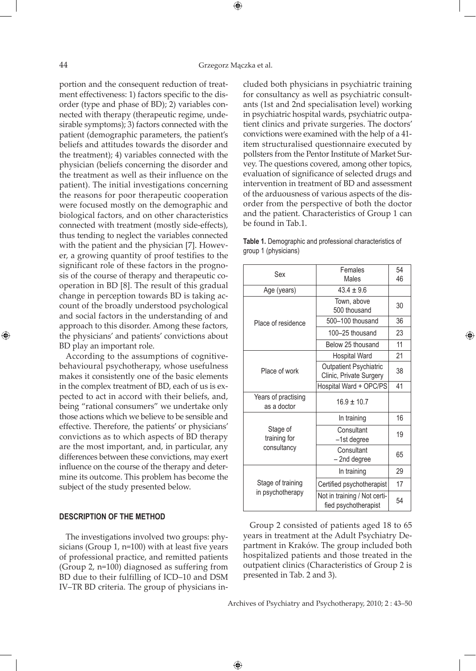portion and the consequent reduction of treatment effectiveness: 1) factors specific to the disorder (type and phase of BD); 2) variables connected with therapy (therapeutic regime, undesirable symptoms); 3) factors connected with the patient (demographic parameters, the patient's beliefs and attitudes towards the disorder and the treatment); 4) variables connected with the physician (beliefs concerning the disorder and the treatment as well as their influence on the patient). The initial investigations concerning the reasons for poor therapeutic cooperation were focused mostly on the demographic and biological factors, and on other characteristics connected with treatment (mostly side-effects), thus tending to neglect the variables connected with the patient and the physician [7]. However, a growing quantity of proof testifies to the significant role of these factors in the prognosis of the course of therapy and therapeutic cooperation in BD [8]. The result of this gradual change in perception towards BD is taking account of the broadly understood psychological and social factors in the understanding of and approach to this disorder. Among these factors, the physicians' and patients' convictions about BD play an important role.

According to the assumptions of cognitivebehavioural psychotherapy, whose usefulness makes it consistently one of the basic elements in the complex treatment of BD, each of us is expected to act in accord with their beliefs, and, being "rational consumers" we undertake only those actions which we believe to be sensible and effective. Therefore, the patients' or physicians' convictions as to which aspects of BD therapy are the most important, and, in particular, any differences between these convictions, may exert influence on the course of the therapy and determine its outcome. This problem has become the subject of the study presented below.

## **Description of the method**

The investigations involved two groups: physicians (Group 1, n=100) with at least five years of professional practice, and remitted patients (Group 2, n=100) diagnosed as suffering from BD due to their fulfilling of ICD–10 and DSM IV–TR BD criteria. The group of physicians included both physicians in psychiatric training for consultancy as well as psychiatric consultants (1st and 2nd specialisation level) working in psychiatric hospital wards, psychiatric outpatient clinics and private surgeries. The doctors' convictions were examined with the help of a 41 item structuralised questionnaire executed by pollsters from the Pentor Institute of Market Survey. The questions covered, among other topics, evaluation of significance of selected drugs and intervention in treatment of BD and assessment of the arduousness of various aspects of the disorder from the perspective of both the doctor and the patient. Characteristics of Group 1 can be found in Tab.1.

| <b>Table 1.</b> Demographic and professional characteristics of |  |  |
|-----------------------------------------------------------------|--|--|
| group 1 (physicians)                                            |  |  |

| Sex                 | Females                                              | 54 |
|---------------------|------------------------------------------------------|----|
|                     | Males                                                | 46 |
| Age (years)         | $43.4 + 9.6$                                         |    |
|                     | Town, above                                          | 30 |
|                     | 500 thousand                                         |    |
| Place of residence  | 500-100 thousand                                     | 36 |
|                     | 100-25 thousand                                      | 23 |
|                     | Below 25 thousand                                    | 11 |
|                     | <b>Hospital Ward</b>                                 | 21 |
| Place of work       | Outpatient Psychiatric                               | 38 |
|                     | Clinic, Private Surgery                              |    |
|                     | Hospital Ward + OPC/PS                               | 41 |
| Years of practising | $16.9 + 10.7$                                        |    |
| as a doctor         |                                                      |    |
|                     | In training                                          | 16 |
| Stage of            | Consultant                                           | 19 |
| training for        | -1st degree                                          |    |
| consultancy         | Consultant                                           | 65 |
|                     | -2nd degree                                          |    |
|                     | In training                                          | 29 |
| Stage of training   | Certified psychotherapist                            | 17 |
| in psychotherapy    | Not in training / Not certi-<br>fied psychotherapist | 54 |

⊕

Group 2 consisted of patients aged 18 to 65 years in treatment at the Adult Psychiatry Department in Kraków. The group included both hospitalized patients and those treated in the outpatient clinics (Characteristics of Group 2 is presented in Tab. 2 and 3).

Archives of Psychiatry and Psychotherapy, 2010; 2 : 43–50

 $\bigoplus$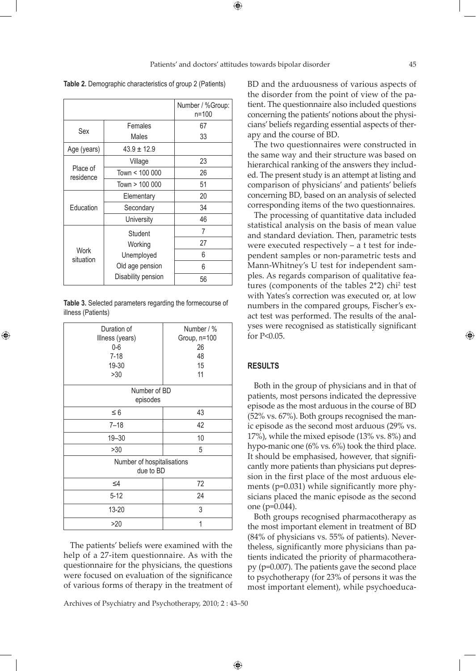**Table 2.** Demographic characteristics of group 2 (Patients)

|                       |                    | Number / %Group:<br>$n = 100$ |
|-----------------------|--------------------|-------------------------------|
| Sex                   | Females            | 67                            |
|                       | Males              | 33                            |
| Age (years)           | $43.9 \pm 12.9$    |                               |
|                       | Village            | 23                            |
| Place of<br>residence | Town < 100 000     | 26                            |
|                       | Town > 100 000     | 51                            |
|                       | Elementary         | 20                            |
| Education             | Secondary          | 34                            |
|                       | University         | 46                            |
|                       | Student            | 7                             |
|                       | Working            | 27                            |
| Work<br>situation     | Unemployed         | 6                             |
|                       | Old age pension    | 6                             |
|                       | Disability pension | 56                            |

**Table 3.** Selected parameters regarding the formecourse of illness (Patients)

⊕

| Duration of                | Number / %   |  |  |  |
|----------------------------|--------------|--|--|--|
| Illness (years)            | Group, n=100 |  |  |  |
| $0-6$                      | 26           |  |  |  |
| $7 - 18$                   | 48           |  |  |  |
| 19-30                      | 15           |  |  |  |
| >30                        | 11           |  |  |  |
| Number of BD               |              |  |  |  |
| episodes                   |              |  |  |  |
| $\leq 6$                   | 43           |  |  |  |
| $7 - 18$                   | 42           |  |  |  |
| $19 - 30$                  | 10           |  |  |  |
| >30                        | 5            |  |  |  |
| Number of hospitalisations |              |  |  |  |
| due to BD                  |              |  |  |  |
| $\leq 4$                   | 72           |  |  |  |
| $5 - 12$                   | 24           |  |  |  |
| 13-20                      | 3            |  |  |  |
| >20                        | 1            |  |  |  |

The patients' beliefs were examined with the help of a 27-item questionnaire. As with the questionnaire for the physicians, the questions were focused on evaluation of the significance of various forms of therapy in the treatment of

Archives of Psychiatry and Psychotherapy, 2010; 2 : 43–50

BD and the arduousness of various aspects of the disorder from the point of view of the patient. The questionnaire also included questions concerning the patients' notions about the physicians' beliefs regarding essential aspects of therapy and the course of BD.

The two questionnaires were constructed in the same way and their structure was based on hierarchical ranking of the answers they included. The present study is an attempt at listing and comparison of physicians' and patients' beliefs concerning BD, based on an analysis of selected corresponding items of the two questionnaires.

The processing of quantitative data included statistical analysis on the basis of mean value and standard deviation. Then, parametric tests were executed respectively – a t test for independent samples or non-parametric tests and Mann-Whitney's U test for independent samples. As regards comparison of qualitative features (components of the tables  $2^*2$ ) chi<sup>2</sup> test with Yates's correction was executed or, at low numbers in the compared groups, Fischer's exact test was performed. The results of the analyses were recognised as statistically significant for P<0.05.

# **Results**

 $\bigoplus$ 

Both in the group of physicians and in that of patients, most persons indicated the depressive episode as the most arduous in the course of BD (52% vs. 67%). Both groups recognised the manic episode as the second most arduous (29% vs. 17%), while the mixed episode (13% vs. 8%) and hypo-manic one (6% vs. 6%) took the third place. It should be emphasised, however, that significantly more patients than physicians put depression in the first place of the most arduous elements (p=0.031) while significantly more physicians placed the manic episode as the second one (p=0.044).

Both groups recognised pharmacotherapy as the most important element in treatment of BD (84% of physicians vs. 55% of patients). Nevertheless, significantly more physicians than patients indicated the priority of pharmacotherapy (p=0.007). The patients gave the second place to psychotherapy (for 23% of persons it was the most important element), while psychoeduca-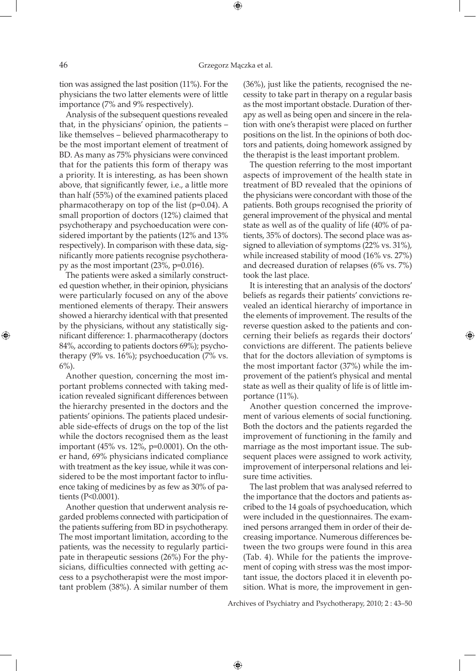tion was assigned the last position (11%). For the physicians the two latter elements were of little importance (7% and 9% respectively).

Analysis of the subsequent questions revealed that, in the physicians' opinion, the patients – like themselves – believed pharmacotherapy to be the most important element of treatment of BD. As many as 75% physicians were convinced that for the patients this form of therapy was a priority. It is interesting, as has been shown above, that significantly fewer, i.e., a little more than half (55%) of the examined patients placed pharmacotherapy on top of the list (p=0.04). A small proportion of doctors (12%) claimed that psychotherapy and psychoeducation were considered important by the patients (12% and 13% respectively). In comparison with these data, significantly more patients recognise psychotherapy as the most important (23%, p=0.016).

The patients were asked a similarly constructed question whether, in their opinion, physicians were particularly focused on any of the above mentioned elements of therapy. Their answers showed a hierarchy identical with that presented by the physicians, without any statistically significant difference: 1. pharmacotherapy (doctors 84%, according to patients doctors 69%); psychotherapy (9% vs. 16%); psychoeducation (7% vs.  $6\%$ ).

Another question, concerning the most important problems connected with taking medication revealed significant differences between the hierarchy presented in the doctors and the patients' opinions. The patients placed undesirable side-effects of drugs on the top of the list while the doctors recognised them as the least important (45% vs. 12%, p=0.0001). On the other hand, 69% physicians indicated compliance with treatment as the key issue, while it was considered to be the most important factor to influence taking of medicines by as few as 30% of patients (P<0.0001).

Another question that underwent analysis regarded problems connected with participation of the patients suffering from BD in psychotherapy. The most important limitation, according to the patients, was the necessity to regularly participate in therapeutic sessions (26%) For the physicians, difficulties connected with getting access to a psychotherapist were the most important problem (38%). A similar number of them

(36%), just like the patients, recognised the necessity to take part in therapy on a regular basis as the most important obstacle. Duration of therapy as well as being open and sincere in the relation with one's therapist were placed on further positions on the list. In the opinions of both doctors and patients, doing homework assigned by the therapist is the least important problem.

The question referring to the most important aspects of improvement of the health state in treatment of BD revealed that the opinions of the physicians were concordant with those of the patients. Both groups recognised the priority of general improvement of the physical and mental state as well as of the quality of life (40% of patients, 35% of doctors). The second place was assigned to alleviation of symptoms (22% vs. 31%), while increased stability of mood (16% vs. 27%) and decreased duration of relapses (6% vs. 7%) took the last place.

It is interesting that an analysis of the doctors' beliefs as regards their patients' convictions revealed an identical hierarchy of importance in the elements of improvement. The results of the reverse question asked to the patients and concerning their beliefs as regards their doctors' convictions are different. The patients believe that for the doctors alleviation of symptoms is the most important factor (37%) while the improvement of the patient's physical and mental state as well as their quality of life is of little importance (11%).

Another question concerned the improvement of various elements of social functioning. Both the doctors and the patients regarded the improvement of functioning in the family and marriage as the most important issue. The subsequent places were assigned to work activity, improvement of interpersonal relations and leisure time activities.

The last problem that was analysed referred to the importance that the doctors and patients ascribed to the 14 goals of psychoeducation, which were included in the questionnaires. The examined persons arranged them in order of their decreasing importance. Numerous differences between the two groups were found in this area (Tab. 4). While for the patients the improvement of coping with stress was the most important issue, the doctors placed it in eleventh position. What is more, the improvement in gen-

Archives of Psychiatry and Psychotherapy, 2010; 2 : 43–50

 $\bigoplus$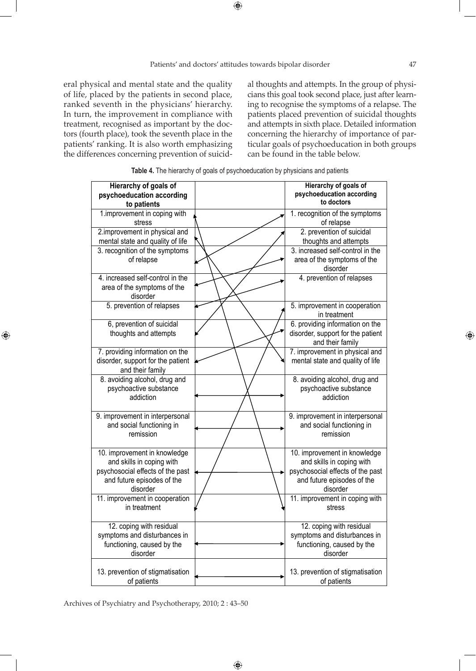eral physical and mental state and the quality of life, placed by the patients in second place, ranked seventh in the physicians' hierarchy. In turn, the improvement in compliance with treatment, recognised as important by the doctors (fourth place), took the seventh place in the patients' ranking. It is also worth emphasizing the differences concerning prevention of suicid-

 $\bigoplus$ 

al thoughts and attempts. In the group of physicians this goal took second place, just after learning to recognise the symptoms of a relapse. The patients placed prevention of suicidal thoughts and attempts in sixth place. Detailed information concerning the hierarchy of importance of particular goals of psychoeducation in both groups can be found in the table below.

| Hierarchy of goals of                                   | Hierarchy of goals of                                   |
|---------------------------------------------------------|---------------------------------------------------------|
| psychoeducation according                               | psychoeducation according                               |
| to patients                                             | to doctors                                              |
| 1.improvement in coping with                            | 1. recognition of the symptoms                          |
| stress                                                  | of relapse                                              |
| 2.improvement in physical and                           | 2. prevention of suicidal                               |
| mental state and quality of life                        | thoughts and attempts                                   |
| 3. recognition of the symptoms                          | 3. increased self-control in the                        |
| of relapse                                              | area of the symptoms of the                             |
| 4. increased self-control in the                        | disorder                                                |
| area of the symptoms of the                             | 4. prevention of relapses                               |
| disorder                                                |                                                         |
| 5. prevention of relapses                               | 5. improvement in cooperation                           |
|                                                         | in treatment                                            |
| 6, prevention of suicidal                               | 6. providing information on the                         |
| thoughts and attempts                                   | disorder, support for the patient                       |
|                                                         | and their family                                        |
| 7. providing information on the                         | 7. improvement in physical and                          |
| disorder, support for the patient                       | mental state and quality of life                        |
| and their family                                        |                                                         |
| 8. avoiding alcohol, drug and<br>psychoactive substance | 8. avoiding alcohol, drug and<br>psychoactive substance |
| addiction                                               | addiction                                               |
|                                                         |                                                         |
| 9. improvement in interpersonal                         | 9. improvement in interpersonal                         |
| and social functioning in                               | and social functioning in                               |
| remission                                               | remission                                               |
|                                                         |                                                         |
| 10. improvement in knowledge                            | 10. improvement in knowledge                            |
| and skills in coping with                               | and skills in coping with                               |
| psychosocial effects of the past                        | psychosocial effects of the past                        |
| and future episodes of the                              | and future episodes of the                              |
| disorder                                                | disorder                                                |
| 11. improvement in cooperation<br>in treatment          | 11. improvement in coping with                          |
|                                                         | stress                                                  |
| 12. coping with residual                                | 12. coping with residual                                |
| symptoms and disturbances in                            | symptoms and disturbances in                            |
| functioning, caused by the                              | functioning, caused by the                              |
| disorder                                                | disorder                                                |
|                                                         |                                                         |
| 13. prevention of stigmatisation                        | 13. prevention of stigmatisation                        |
| of patients                                             | of patients                                             |

 $\bigoplus$ 

**Table 4.** The hierarchy of goals of psychoeducation by physicians and patients

Archives of Psychiatry and Psychotherapy, 2010; 2 : 43–50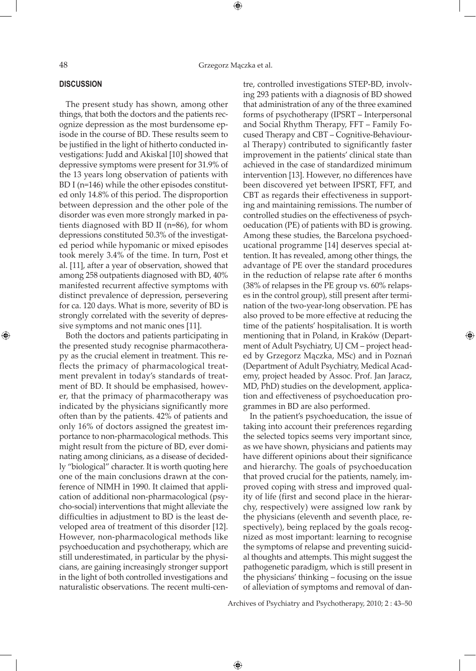#### **Discussion**

The present study has shown, among other things, that both the doctors and the patients recognize depression as the most burdensome episode in the course of BD. These results seem to be justified in the light of hitherto conducted investigations: Judd and Akiskal [10] showed that depressive symptoms were present for 31.9% of the 13 years long observation of patients with BD I (n=146) while the other episodes constituted only 14.8% of this period. The disproportion between depression and the other pole of the disorder was even more strongly marked in patients diagnosed with BD II (n=86), for whom depressions constituted 50.3% of the investigated period while hypomanic or mixed episodes took merely 3.4% of the time. In turn, Post et al. [11], after a year of observation, showed that among 258 outpatients diagnosed with BD, 40% manifested recurrent affective symptoms with distinct prevalence of depression, persevering for ca. 120 days. What is more, severity of BD is strongly correlated with the severity of depressive symptoms and not manic ones [11].

Both the doctors and patients participating in the presented study recognise pharmacotherapy as the crucial element in treatment. This reflects the primacy of pharmacological treatment prevalent in today's standards of treatment of BD. It should be emphasised, however, that the primacy of pharmacotherapy was indicated by the physicians significantly more often than by the patients. 42% of patients and only 16% of doctors assigned the greatest importance to non-pharmacological methods. This might result from the picture of BD, ever dominating among clinicians, as a disease of decidedly "biological" character. It is worth quoting here one of the main conclusions drawn at the conference of NIMH in 1990. It claimed that application of additional non-pharmacological (psycho-social) interventions that might alleviate the difficulties in adjustment to BD is the least developed area of treatment of this disorder [12]. However, non-pharmacological methods like psychoeducation and psychotherapy, which are still underestimated, in particular by the physicians, are gaining increasingly stronger support in the light of both controlled investigations and naturalistic observations. The recent multi-centre, controlled investigations STEP-BD, involving 293 patients with a diagnosis of BD showed that administration of any of the three examined forms of psychotherapy (IPSRT – Interpersonal and Social Rhythm Therapy, FFT – Family Focused Therapy and CBT – Cognitive-Behavioural Therapy) contributed to significantly faster improvement in the patients' clinical state than achieved in the case of standardized minimum intervention [13]. However, no differences have been discovered yet between IPSRT, FFT, and CBT as regards their effectiveness in supporting and maintaining remissions. The number of controlled studies on the effectiveness of psychoeducation (PE) of patients with BD is growing. Among these studies, the Barcelona psychoeducational programme [14] deserves special attention. It has revealed, among other things, the advantage of PE over the standard procedures in the reduction of relapse rate after 6 months (38% of relapses in the PE group vs. 60% relapses in the control group), still present after termination of the two-year-long observation. PE has also proved to be more effective at reducing the time of the patients' hospitalisation. It is worth mentioning that in Poland, in Kraków (Department of Adult Psychiatry, UJ CM – project headed by Grzegorz Mączka, MSc) and in Poznań (Department of Adult Psychiatry, Medical Academy, project headed by Assoc. Prof. Jan Jaracz, MD, PhD) studies on the development, application and effectiveness of psychoeducation programmes in BD are also performed.

In the patient's psychoeducation, the issue of taking into account their preferences regarding the selected topics seems very important since, as we have shown, physicians and patients may have different opinions about their significance and hierarchy. The goals of psychoeducation that proved crucial for the patients, namely, improved coping with stress and improved quality of life (first and second place in the hierarchy, respectively) were assigned low rank by the physicians (eleventh and seventh place, respectively), being replaced by the goals recognized as most important: learning to recognise the symptoms of relapse and preventing suicidal thoughts and attempts. This might suggest the pathogenetic paradigm, which is still present in the physicians' thinking – focusing on the issue of alleviation of symptoms and removal of dan-

Archives of Psychiatry and Psychotherapy, 2010; 2 : 43–50

 $\bigoplus$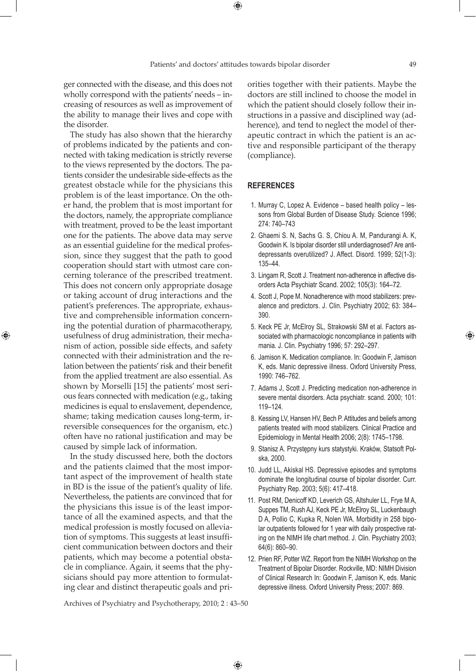$\bigoplus$ 

ger connected with the disease, and this does not wholly correspond with the patients' needs – increasing of resources as well as improvement of the ability to manage their lives and cope with the disorder.

The study has also shown that the hierarchy of problems indicated by the patients and connected with taking medication is strictly reverse to the views represented by the doctors. The patients consider the undesirable side-effects as the greatest obstacle while for the physicians this problem is of the least importance. On the other hand, the problem that is most important for the doctors, namely, the appropriate compliance with treatment, proved to be the least important one for the patients. The above data may serve as an essential guideline for the medical profession, since they suggest that the path to good cooperation should start with utmost care concerning tolerance of the prescribed treatment. This does not concern only appropriate dosage or taking account of drug interactions and the patient's preferences. The appropriate, exhaustive and comprehensible information concerning the potential duration of pharmacotherapy, usefulness of drug administration, their mechanism of action, possible side effects, and safety connected with their administration and the relation between the patients' risk and their benefit from the applied treatment are also essential. As shown by Morselli [15] the patients' most serious fears connected with medication (e.g., taking medicines is equal to enslavement, dependence, shame; taking medication causes long-term, irreversible consequences for the organism, etc.) often have no rational justification and may be caused by simple lack of information.

⊕

In the study discussed here, both the doctors and the patients claimed that the most important aspect of the improvement of health state in BD is the issue of the patient's quality of life. Nevertheless, the patients are convinced that for the physicians this issue is of the least importance of all the examined aspects, and that the medical profession is mostly focused on alleviation of symptoms. This suggests at least insufficient communication between doctors and their patients, which may become a potential obstacle in compliance. Again, it seems that the physicians should pay more attention to formulating clear and distinct therapeutic goals and priorities together with their patients. Maybe the doctors are still inclined to choose the model in which the patient should closely follow their instructions in a passive and disciplined way (adherence), and tend to neglect the model of therapeutic contract in which the patient is an active and responsible participant of the therapy (compliance).

#### **References**

- 1. Murray C, Lopez A. Evidence based health policy lessons from Global Burden of Disease Study. Science 1996; 274: 740–743
- 2. Ghaemi S. N, Sachs G. S, Chiou A. M, Pandurangi A. K, Goodwin K. Is bipolar disorder still underdiagnosed? Are antidepressants overutilized? J. Affect. Disord. 1999; 52(1-3): 135–44.
- 3. Lingam R, Scott J. Treatment non-adherence in affective disorders Acta Psychiatr Scand. 2002; 105(3): 164–72.
- 4. Scott J, Pope M. Nonadherence with mood stabilizers: prevalence and predictors. J. Clin. Psychiatry 2002; 63: 384– 390.
- 5. Keck PE Jr, McElroy SL, Strakowski SM et al. Factors associated with pharmacologic noncompliance in patients with mania. J. Clin. Psychiatry 1996; 57: 292–297.
- 6. Jamison K. Medication compliance. In: Goodwin F, Jamison K, eds. Manic depressive illness. Oxford University Press, 1990: 746–762.
- 7. Adams J, Scott J. Predicting medication non-adherence in severe mental disorders. Acta psychiatr. scand. 2000; 101: 119–124.
- 8. Kessing LV, Hansen HV, Bech P. Attitudes and beliefs among patients treated with mood stabilizers. Clinical Practice and Epidemiology in Mental Health 2006; 2(8): 1745–1798.
- 9. Stanisz A. Przystępny kurs statystyki. Kraków, Statsoft Polska, 2000.
- 10. Judd LL, Akiskal HS. Depressive episodes and symptoms dominate the longitudinal course of bipolar disorder. Curr. Psychiatry Rep. 2003; 5(6): 417–418.
- 11. Post RM, Denicoff KD, Leverich GS, Altshuler LL, Frye M A, Suppes TM, Rush AJ, Keck PE Jr, McElroy SL, Luckenbaugh D A, Pollio C, Kupka R, Nolen WA. Morbidity in 258 bipolar outpatients followed for 1 year with daily prospective rating on the NIMH life chart method. J. Clin. Psychiatry 2003; 64(6): 860–90.
- 12. Prien RF, Potter WZ. Report from the NIMH Workshop on the Treatment of Bipolar Disorder. Rockville, MD: NIMH Division of Clinical Research In: Goodwin F, Jamison K, eds. Manic depressive illness. Oxford University Press; 2007: 869.

Archives of Psychiatry and Psychotherapy, 2010; 2 : 43–50

 $\bigoplus$